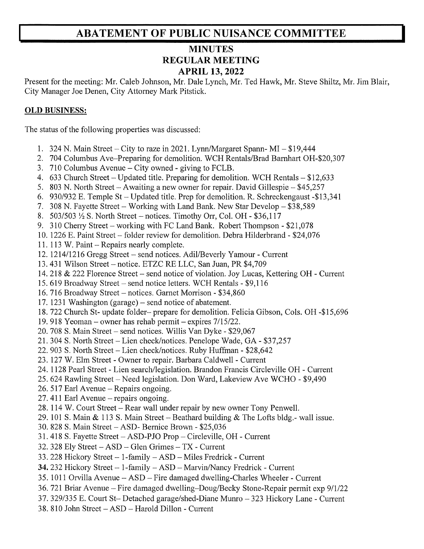## ABATEMENT OF PUBLIC NUISANCE COMMITTEE

## MINUTES REGULAR MEETING APRIL 13, 2022

Present for the meeting: Mr. Caleb Johnson, Mr. Dale Lynch, Mr. Ted Hawk, Mr. Steve Shiltz, Mr. Jim Blair, City Manager Joe Denen, City Attorney Mark Pitstick.

## **OLD BUSINESS:**

The status of the following properties was discussed:

- 1. 324 N. Main Street City to raze in 2021. Lynn/Margaret Spann-MI  $$19,444$
- 2. 704 Columbus Ave-Preparing for demolition. WCH Rentals/Brad Barnhart OH-\$20,307
- 3. 710 Columbus Avenue City owned giving to FCLB.
- 4. 633 Church Street Updated title. Preparing for demolition. WCH Rentals  $$12,633$
- 5. 803 N. North Street Awaiting a new owner for repair. David Gillespie  $$45,257$
- 5. 803 N. North Street Awaiting a new owner for repair. David Gillespie \$45,257<br>6. 930/932 E. Temple St Updated title. Prep for demolition. R. Schreckengaust -\$13,341 6. 930/932 E. Temple St – Updated title. Prep for demolition. R. Schreckengaust -<br>7. 308 N. Fayette Street – Working with Land Bank. New Star Develop – \$38,589
- 7. 308 N. Fayette Street Working with Land Bank. New Star Develop \$38,589<br>8. 503/503  $\frac{1}{2}$  S. North Street notices. Timothy Orr, Col. OH \$36,117
- 
- 9. 310 Cherry Street working with FC Land Bank. Robert Thompson  $-$  \$21,078
- 10. 1226 E. Paint Street folder review for demolition. Debra Hilderbrand \$24,076
- 11. 113 W. Paint Repairs nearly complete.
- 12. 1214/1216 Gregg Street send notices. Adil/Beverly Yamour Current
- 13. 431 Wilson Street notice. ETZC RE LLC, San Juan, PR \$4,709
- 13. 431 Wilson Street notice. ETZC RE LLC, San Juan, PR \$4,709<br>14. 218 & 222 Florence Street send notice of violation. Joy Lucas, Kettering OH Current
- 15.451 Whison Street Hotter, ETEC RE EEC, San Juan, TR \$4,769<br>14.218 & 222 Florence Street send notice of violation. Joy Lucas, 1<br>15.619 Broadway Street send notice letters. WCH Rentals \$9,116 15. 619 Broadway Street – send notice letters. WCH Rentals - \$9,116<br>16. 716 Broadway Street – notices. Garnet Morrison - \$34,860
- 
- 17. 1231 Washington (garage) send notice of abatement.
- 18. <sup>722</sup> Church St- update folder- prepare for demolition. Felicia Gibson, Cols. OH-\$15,696
- 19. 918 Yeoman owner has rehab permit expires  $7/15/22$ .
- 20. 708 S. Main Street send notices. Willis Van Dyke  $$29,067$
- 21. 304 S. North Street  $-$  Lien check/notices. Penelope Wade, GA  $-$  \$37,257
- 22. 903 S. North Street Lien check/notices. Ruby Huffman \$28,642
- 23. 127 W. Elm Street Owner to repair. Barbara Caldwell Current
- 23. 127 W. Elm Street Owner to repair. Barbara Caldwell Current<br>24. 1128 Pearl Street Lien search/legislation. Brandon Francis Circleville OH Current 23. 127 W. Emi Street - Owner to Tepan. Barbara Cardwen - Carlem<br>24. 1128 Pearl Street - Lien search/legislation. Brandon Francis Circleville OH - Curre<br>25. 624 Rawling Street – Need legislation. Don Ward, Lakeview Ave WCH
- 25. 624 Rawling Street Need legislation. Don Ward, Lakeview Ave WCHO \$9,490<br>26. 517 Earl Avenue Repairs ongoing.
- 
- 27. 411 Earl Avenue  $-$  repairs ongoing.
- 28. 114 W. Court Street Rear wall under repair by new owner Tony Penwell.
- 28. 114 W. Court Street Rear wall under repair by new owner Tony Penwell.<br>29. 101 S. Main & 113 S. Main Street Beathard building & The Lofts bldg.- wall issue.
- 29. 101 S. Main & 113 S. Main Street Beathard buildir<br>30. 828 S. Main Street ASD- Bernice Brown \$25,036
- 30. 828 S. Main Street ASD- Bernice Brown \$25,036<br>31. 418 S. Fayette Street ASD-PJO Prop Circleville, OH Current 31. 418 S. Fayette Street – ASD-PJO Prop – Circleville, 32. 328 Ely Street – ASD – Glen Grimes – TX - Current
- 
- 32. 328 Ely Street ASD Glen Grimes TX Current<br>33. 228 Hickory Street 1-family ASD Miles Fredrick Current
- 34. 232 Hickory Street 1-family ASD Marvin/Nancy Fredrick Current
- 35. 1011 Orvilla Avenue  $-$  ASD  $-$  Fire damaged dwelling-Charles Wheeler Current
- 36. 721 Briar Avenue Fire damaged dwelling-Doug/Becky Stone-Repair permit exp 9/1/22
- 36. 721 Briar Avenue Fire damaged dwelling–Doug/Becky Stone-Repair permit exp 9/1/2<br>37. 329/335 E. Court St– Detached garage/shed-Diane Munro 323 Hickory Lane Current 37. 329/335 E. Court St– Detached garage/shed-Diar<br>38. 810 John Street – ASD – Harold Dillon - Current
-